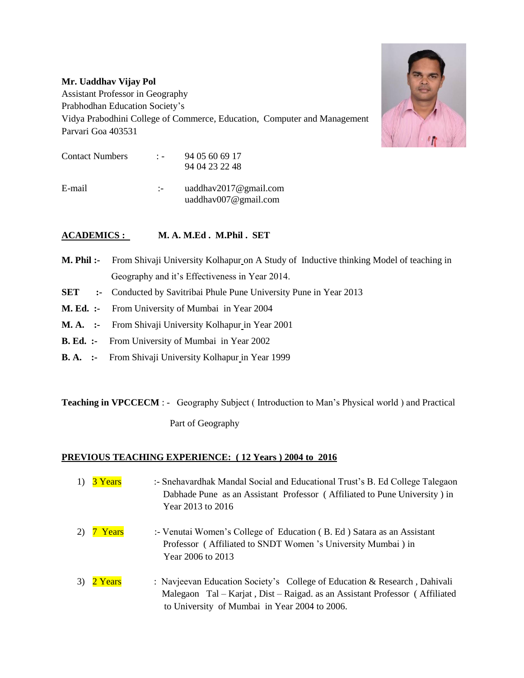## **Mr. Uaddhav Vijay Pol**

Assistant Professor in Geography Prabhodhan Education Society's

Vidya Prabodhini College of Commerce, Education, Computer and Management Parvari Goa 403531



## **ACADEMICS : M. A. M.Ed . M.Phil . SET**

- **M. Phil :-** From Shivaji University Kolhapur on A Study of Inductive thinking Model of teaching in Geography and it's Effectiveness in Year 2014.
- **SET** :- Conducted by Savitribai Phule Pune University Pune in Year 2013
- **M. Ed. :-** From University of Mumbai in Year 2004
- **M. A. :-** From Shivaji University Kolhapur in Year 2001
- **B. Ed. :-** From University of Mumbai in Year 2002
- **B. A. :-** From Shivaji University Kolhapur in Year 1999

**Teaching in VPCCECM** : - Geography Subject (Introduction to Man's Physical world) and Practical

Part of Geography

## **PREVIOUS TEACHING EXPERIENCE: ( 12 Years ) 2004 to 2016**

- 1)  $3$  Years :- Snehavardhak Mandal Social and Educational Trust's B. Ed College Talegaon Dabhade Pune as an Assistant Professor ( Affiliated to Pune University ) in Year 2013 to 2016
- 2)  $\overline{7}$  Years :- Venutai Women's College of Education (B. Ed ) Satara as an Assistant Professor ( Affiliated to SNDT Women 's University Mumbai ) in Year 2006 to 2013
- 3) 2 Years : Navjeevan Education Society's College of Education & Research, Dahivali Malegaon Tal – Karjat , Dist – Raigad. as an Assistant Professor ( Affiliated to University of Mumbai in Year 2004 to 2006.